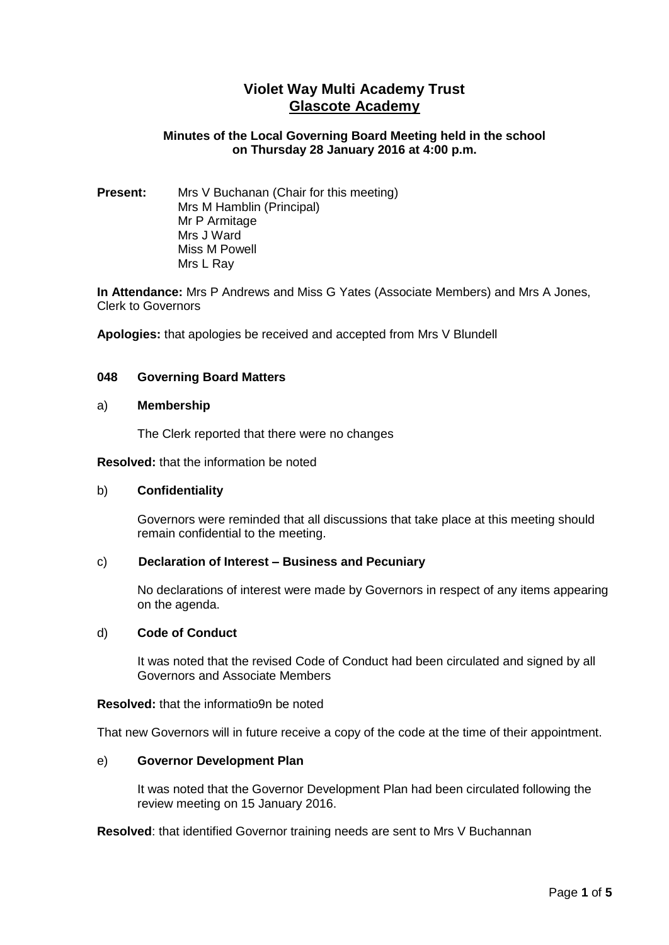# **Violet Way Multi Academy Trust Glascote Academy**

# **Minutes of the Local Governing Board Meeting held in the school on Thursday 28 January 2016 at 4:00 p.m.**

**Present:** Mrs V Buchanan (Chair for this meeting) Mrs M Hamblin (Principal) Mr P Armitage Mrs J Ward Miss M Powell Mrs L Ray

**In Attendance:** Mrs P Andrews and Miss G Yates (Associate Members) and Mrs A Jones, Clerk to Governors

**Apologies:** that apologies be received and accepted from Mrs V Blundell

### **048 Governing Board Matters**

#### a) **Membership**

The Clerk reported that there were no changes

#### **Resolved:** that the information be noted

#### b) **Confidentiality**

Governors were reminded that all discussions that take place at this meeting should remain confidential to the meeting.

#### c) **Declaration of Interest – Business and Pecuniary**

No declarations of interest were made by Governors in respect of any items appearing on the agenda.

### d) **Code of Conduct**

It was noted that the revised Code of Conduct had been circulated and signed by all Governors and Associate Members

#### **Resolved:** that the informatio9n be noted

That new Governors will in future receive a copy of the code at the time of their appointment.

#### e) **Governor Development Plan**

It was noted that the Governor Development Plan had been circulated following the review meeting on 15 January 2016.

**Resolved**: that identified Governor training needs are sent to Mrs V Buchannan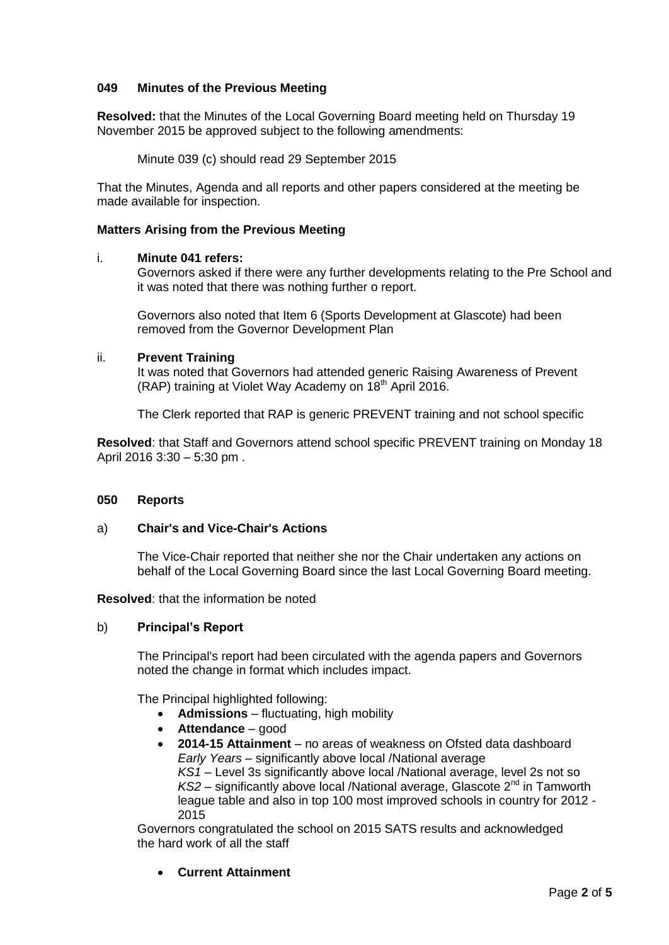# **049 Minutes of the Previous Meeting**

**Resolved:** that the Minutes of the Local Governing Board meeting held on Thursday 19 November 2015 be approved subject to the following amendments:

Minute 039 (c) should read 29 September 2015

That the Minutes, Agenda and all reports and other papers considered at the meeting be made available for inspection.

# **Matters Arising from the Previous Meeting**

### i. **Minute 041 refers:**

Governors asked if there were any further developments relating to the Pre School and it was noted that there was nothing further o report.

Governors also noted that Item 6 (Sports Development at Glascote) had been removed from the Governor Development Plan

#### ii. **Prevent Training**

It was noted that Governors had attended generic Raising Awareness of Prevent (RAP) training at Violet Way Academy on 18<sup>th</sup> April 2016.

The Clerk reported that RAP is generic PREVENT training and not school specific

**Resolved**: that Staff and Governors attend school specific PREVENT training on Monday 18 April 2016 3:30 – 5:30 pm .

# **050 Reports**

# a) **Chair's and Vice-Chair's Actions**

The Vice-Chair reported that neither she nor the Chair undertaken any actions on behalf of the Local Governing Board since the last Local Governing Board meeting.

**Resolved**: that the information be noted

# b) **Principal's Report**

The Principal's report had been circulated with the agenda papers and Governors noted the change in format which includes impact.

The Principal highlighted following:

- **Admissions**  fluctuating, high mobility
- **Attendance**  good
- **2014-15 Attainment** no areas of weakness on Ofsted data dashboard *Early Years* – significantly above local /National average *KS1* – Level 3s significantly above local /National average, level 2s not so  $KS2$  – significantly above local /National average, Glascote  $2<sup>nd</sup>$  in Tamworth league table and also in top 100 most improved schools in country for 2012 - 2015

Governors congratulated the school on 2015 SATS results and acknowledged the hard work of all the staff

**Current Attainment**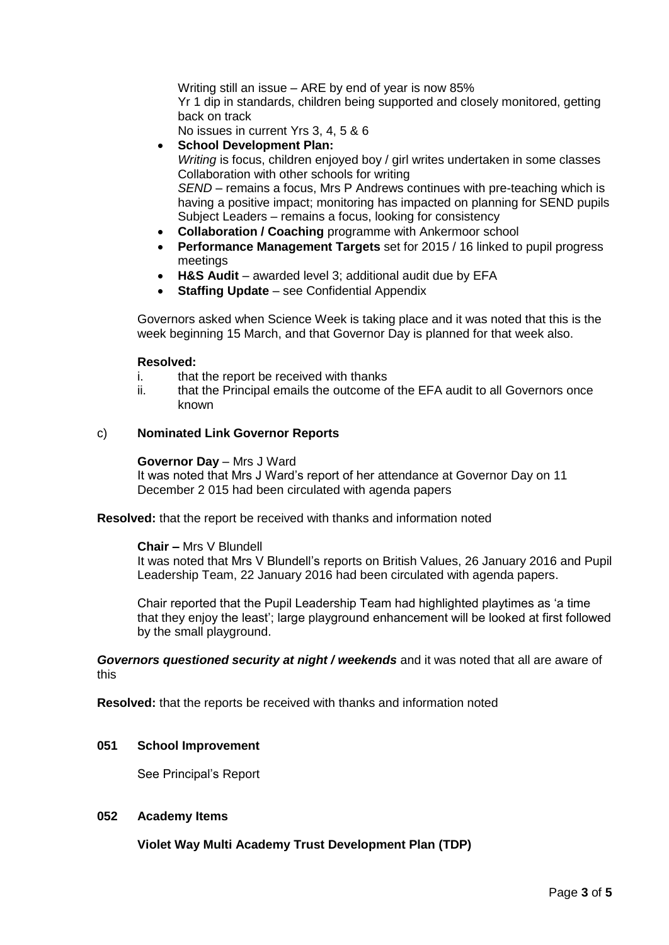Writing still an issue – ARE by end of year is now 85% Yr 1 dip in standards, children being supported and closely monitored, getting back on track

No issues in current Yrs 3, 4, 5 & 6

**School Development Plan:**

*Writing* is focus, children enjoyed boy / girl writes undertaken in some classes Collaboration with other schools for writing *SEND –* remains a focus, Mrs P Andrews continues with pre-teaching which is

having a positive impact; monitoring has impacted on planning for SEND pupils Subject Leaders – remains a focus, looking for consistency

- **Collaboration / Coaching** programme with Ankermoor school
- **Performance Management Targets** set for 2015 / 16 linked to pupil progress meetings
- **H&S Audit** awarded level 3; additional audit due by EFA
- **Staffing Update**  see Confidential Appendix

Governors asked when Science Week is taking place and it was noted that this is the week beginning 15 March, and that Governor Day is planned for that week also.

# **Resolved:**

- i. that the report be received with thanks
- ii. that the Principal emails the outcome of the EFA audit to all Governors once known

### c) **Nominated Link Governor Reports**

#### **Governor Day** – Mrs J Ward

It was noted that Mrs J Ward's report of her attendance at Governor Day on 11 December 2 015 had been circulated with agenda papers

**Resolved:** that the report be received with thanks and information noted

**Chair –** Mrs V Blundell

It was noted that Mrs V Blundell's reports on British Values, 26 January 2016 and Pupil Leadership Team, 22 January 2016 had been circulated with agenda papers.

Chair reported that the Pupil Leadership Team had highlighted playtimes as 'a time that they enjoy the least'; large playground enhancement will be looked at first followed by the small playground.

*Governors questioned security at night / weekends* and it was noted that all are aware of this

**Resolved:** that the reports be received with thanks and information noted

# **051 School Improvement**

See Principal's Report

# **052 Academy Items**

**Violet Way Multi Academy Trust Development Plan (TDP)**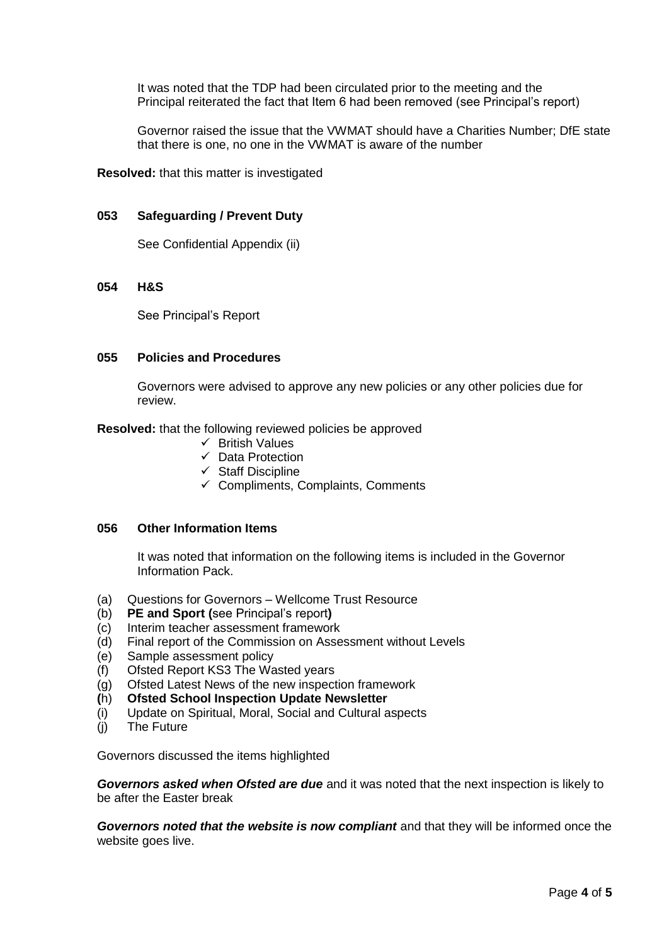It was noted that the TDP had been circulated prior to the meeting and the Principal reiterated the fact that Item 6 had been removed (see Principal's report)

Governor raised the issue that the VWMAT should have a Charities Number; DfE state that there is one, no one in the VWMAT is aware of the number

**Resolved:** that this matter is investigated

### **053 Safeguarding / Prevent Duty**

See Confidential Appendix (ii)

### **054 H&S**

See Principal's Report

### **055 Policies and Procedures**

Governors were advised to approve any new policies or any other policies due for review.

**Resolved:** that the following reviewed policies be approved

- $\checkmark$  British Values
- $\checkmark$  Data Protection
- $\checkmark$  Staff Discipline
- $\checkmark$  Compliments, Complaints, Comments

### **056 Other Information Items**

It was noted that information on the following items is included in the Governor Information Pack.

- (a) Questions for Governors Wellcome Trust Resource
- (b) **PE and Sport (**see Principal's report**)**
- (c) Interim teacher assessment framework
- (d) Final report of the Commission on Assessment without Levels
- (e) Sample assessment policy
- (f) Ofsted Report KS3 The Wasted years
- (g) Ofsted Latest News of the new inspection framework
- **(**h) **Ofsted School Inspection Update Newsletter**
- (i) Update on Spiritual, Moral, Social and Cultural aspects
- (j) The Future

Governors discussed the items highlighted

*Governors asked when Ofsted are due* and it was noted that the next inspection is likely to be after the Easter break

*Governors noted that the website is now compliant* and that they will be informed once the website goes live.